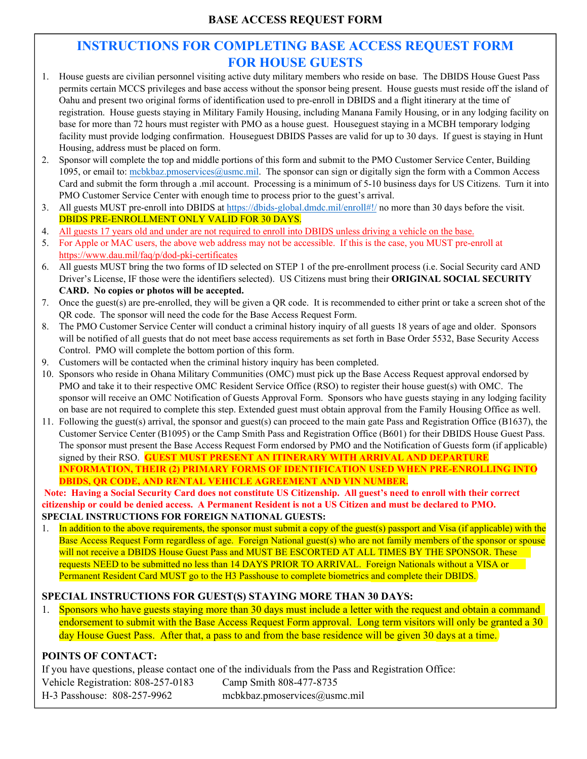## **INSTRUCTIONS FOR COMPLETING BASE ACCESS REQUEST FORM FOR HOUSE GUESTS**

- 1. House guests are civilian personnel visiting active duty military members who reside on base. The DBIDS House Guest Pass permits certain MCCS privileges and base access without the sponsor being present. House guests must reside off the island of Oahu and present two original forms of identification used to pre-enroll in DBIDS and a flight itinerary at the time of registration. House guests staying in Military Family Housing, including Manana Family Housing, or in any lodging facility on base for more than 72 hours must register with PMO as a house guest. Houseguest staying in a MCBH temporary lodging facility must provide lodging confirmation. Houseguest DBIDS Passes are valid for up to 30 days. If guest is staying in Hunt Housing, address must be placed on form.
- 2. Sponsor will complete the top and middle portions of this form and submit to the PMO Customer Service Center, Building 1095, or email to: mcbkbaz.pmoservices@usmc.mil. The sponsor can sign or digitally sign the form with a Common Access Card and submit the form through a .mil account. Processing is a minimum of 5-10 business days for US Citizens. Turn it into PMO Customer Service Center with enough time to process prior to the guest's arrival.
- 3. All guests MUST pre-enroll into DBIDS at https://dbids-global.dmdc.mil/enroll#!/ no more than 30 days before the visit. DBIDS PRE-ENROLLMENT ONLY VALID FOR 30 DAYS.
- 4. All guests 17 years old and under are not required to enroll into DBIDS unless driving a vehicle on the base.
- 5. For Apple or MAC users, the above web address may not be accessible. If this is the case, you MUST pre-enroll at https://www.dau.mil/faq/p/dod-pki-certificates
- 6. All guests MUST bring the two forms of ID selected on STEP 1 of the pre-enrollment process (i.e. Social Security card AND Driver's License, IF those were the identifiers selected). US Citizens must bring their **ORIGINAL SOCIAL SECURITY CARD. No copies or photos will be accepted.**
- 7. Once the guest(s) are pre-enrolled, they will be given a QR code. It is recommended to either print or take a screen shot of the QR code. The sponsor will need the code for the Base Access Request Form.
- 8. The PMO Customer Service Center will conduct a criminal history inquiry of all guests 18 years of age and older. Sponsors will be notified of all guests that do not meet base access requirements as set forth in Base Order 5532, Base Security Access Control. PMO will complete the bottom portion of this form.
- 9. Customers will be contacted when the criminal history inquiry has been completed.
- 10. Sponsors who reside in Ohana Military Communities (OMC) must pick up the Base Access Request approval endorsed by PMO and take it to their respective OMC Resident Service Office (RSO) to register their house guest(s) with OMC. The sponsor will receive an OMC Notification of Guests Approval Form. Sponsors who have guests staying in any lodging facility on base are not required to complete this step. Extended guest must obtain approval from the Family Housing Office as well.
- 11. Following the guest(s) arrival, the sponsor and guest(s) can proceed to the main gate Pass and Registration Office (B1637), the Customer Service Center (B1095) or the Camp Smith Pass and Registration Office (B601) for their DBIDS House Guest Pass. The sponsor must present the Base Access Request Form endorsed by PMO and the Notification of Guests form (if applicable) signed by their RSO. **GUEST MUST PRESENT AN ITINERARY WITH ARRIVAL AND DEPARTURE INFORMATION, THEIR (2) PRIMARY FORMS OF IDENTIFICATION USED WHEN PRE-ENROLLING INTO DBIDS, QR CODE, AND RENTAL VEHICLE AGREEMENT AND VIN NUMBER.**

 **Note: Having a Social Security Card does not constitute US Citizenship. All guest's need to enroll with their correct citizenship or could be denied access. A Permanent Resident is not a US Citizen and must be declared to PMO. SPECIAL INSTRUCTIONS FOR FOREIGN NATIONAL GUESTS:** 

1. In addition to the above requirements, the sponsor must submit a copy of the guest(s) passport and Visa (if applicable) with the Base Access Request Form regardless of age. Foreign National guest(s) who are not family members of the sponsor or spouse will not receive a DBIDS House Guest Pass and MUST BE ESCORTED AT ALL TIMES BY THE SPONSOR. These requests NEED to be submitted no less than 14 DAYS PRIOR TO ARRIVAL. Foreign Nationals without a VISA or Permanent Resident Card MUST go to the H3 Passhouse to complete biometrics and complete their DBIDS.

## **SPECIAL INSTRUCTIONS FOR GUEST(S) STAYING MORE THAN 30 DAYS:**

1. Sponsors who have guests staying more than 30 days must include a letter with the request and obtain a command endorsement to submit with the Base Access Request Form approval. Long term visitors will only be granted a 30 day House Guest Pass. After that, a pass to and from the base residence will be given 30 days at a time.

## **POINTS OF CONTACT:**

If you have questions, please contact one of the individuals from the Pass and Registration Office: Vehicle Registration: 808-257-0183 H-3 Passhouse: 808-257-9962 Camp Smith 808-477-8735 mcbkbaz.pmoservices@usmc.mil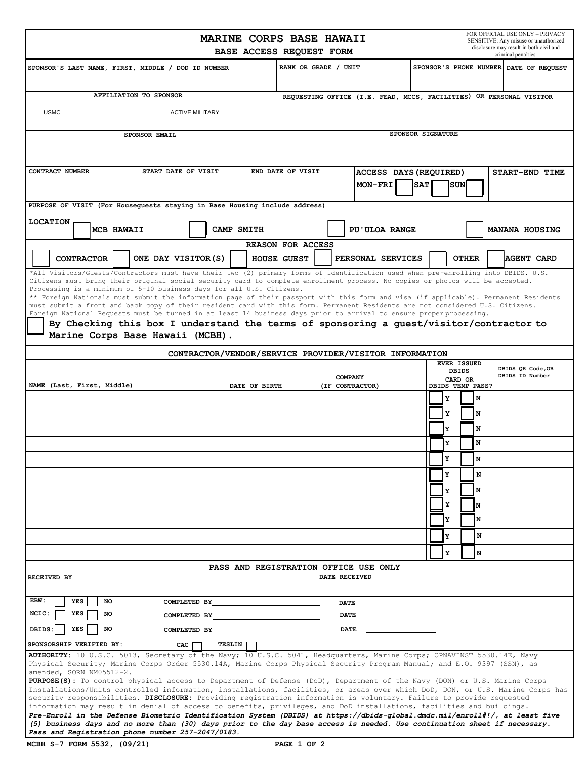|                                                                                                                                                                                                                                                                    | FOR OFFICIAL USE ONLY - PRIVACY<br>MARINE CORPS BASE HAWAII<br>SENSITIVE: Any misuse or unauthorized<br>disclosure may result in both civil and<br>BASE ACCESS REQUEST FORM |                   |                                                                                                                                                                                |                            |                      |                            |                                                        |                             |                                                                     |              |                |                 |                       |  |  |
|--------------------------------------------------------------------------------------------------------------------------------------------------------------------------------------------------------------------------------------------------------------------|-----------------------------------------------------------------------------------------------------------------------------------------------------------------------------|-------------------|--------------------------------------------------------------------------------------------------------------------------------------------------------------------------------|----------------------------|----------------------|----------------------------|--------------------------------------------------------|-----------------------------|---------------------------------------------------------------------|--------------|----------------|-----------------|-----------------------|--|--|
| SPONSOR'S LAST NAME, FIRST, MIDDLE / DOD ID NUMBER                                                                                                                                                                                                                 |                                                                                                                                                                             |                   |                                                                                                                                                                                |                            | RANK OR GRADE / UNIT |                            |                                                        |                             |                                                                     |              |                |                 | criminal penalties.   |  |  |
|                                                                                                                                                                                                                                                                    |                                                                                                                                                                             |                   |                                                                                                                                                                                |                            |                      |                            |                                                        |                             | SPONSOR'S PHONE NUMBER DATE OF REQUEST                              |              |                |                 |                       |  |  |
|                                                                                                                                                                                                                                                                    | AFFILIATION TO SPONSOR                                                                                                                                                      |                   |                                                                                                                                                                                |                            |                      |                            |                                                        |                             | REQUESTING OFFICE (I.E. FEAD, MCCS, FACILITIES) OR PERSONAL VISITOR |              |                |                 |                       |  |  |
| <b>USMC</b>                                                                                                                                                                                                                                                        |                                                                                                                                                                             |                   |                                                                                                                                                                                |                            |                      |                            |                                                        |                             |                                                                     |              |                |                 |                       |  |  |
| SPONSOR EMAIL                                                                                                                                                                                                                                                      |                                                                                                                                                                             | SPONSOR SIGNATURE |                                                                                                                                                                                |                            |                      |                            |                                                        |                             |                                                                     |              |                |                 |                       |  |  |
|                                                                                                                                                                                                                                                                    |                                                                                                                                                                             |                   |                                                                                                                                                                                |                            |                      |                            |                                                        |                             |                                                                     |              |                |                 |                       |  |  |
| CONTRACT NUMBER<br>START DATE OF VISIT<br>END DATE OF VISIT<br>ACCESS DAYS (REQUIRED)                                                                                                                                                                              |                                                                                                                                                                             |                   |                                                                                                                                                                                |                            |                      |                            |                                                        |                             |                                                                     |              | START-END TIME |                 |                       |  |  |
|                                                                                                                                                                                                                                                                    |                                                                                                                                                                             |                   |                                                                                                                                                                                |                            |                      |                            | MON-FRI                                                | <b>SUN</b><br><b>SAT</b>    |                                                                     |              |                |                 |                       |  |  |
| PURPOSE OF VISIT (For Housequests staying in Base Housing include address)<br><b>LOCATION</b>                                                                                                                                                                      |                                                                                                                                                                             |                   |                                                                                                                                                                                |                            |                      |                            |                                                        |                             |                                                                     |              |                |                 |                       |  |  |
| MCB HAWAII                                                                                                                                                                                                                                                         |                                                                                                                                                                             |                   | CAMP SMITH                                                                                                                                                                     |                            |                      |                            | <b>PU'ULOA RANGE</b>                                   |                             |                                                                     |              |                |                 | <b>MANANA HOUSING</b> |  |  |
| <b>REASON FOR ACCESS</b>                                                                                                                                                                                                                                           |                                                                                                                                                                             |                   |                                                                                                                                                                                |                            |                      |                            |                                                        |                             |                                                                     |              |                |                 |                       |  |  |
| ONE DAY VISITOR(S)<br>PERSONAL SERVICES<br><b>OTHER</b><br>AGENT CARD<br><b>CONTRACTOR</b><br>HOUSE GUEST                                                                                                                                                          |                                                                                                                                                                             |                   |                                                                                                                                                                                |                            |                      |                            |                                                        |                             |                                                                     |              |                |                 |                       |  |  |
| *All Visitors/Guests/Contractors must have their two (2) primary forms of identification used when pre-enrolling into DBIDS. U.S.<br>Citizens must bring their original social security card to complete enrollment process. No copies or photos will be accepted. |                                                                                                                                                                             |                   |                                                                                                                                                                                |                            |                      |                            |                                                        |                             |                                                                     |              |                |                 |                       |  |  |
| Processing is a minimum of 5-10 business days for all U.S. Citizens.<br>** Foreign Nationals must submit the information page of their passport with this form and visa (if applicable). Permanent Residents                                                       |                                                                                                                                                                             |                   |                                                                                                                                                                                |                            |                      |                            |                                                        |                             |                                                                     |              |                |                 |                       |  |  |
| must submit a front and back copy of their resident card with this form. Permanent Residents are not considered U.S. Citizens.                                                                                                                                     |                                                                                                                                                                             |                   |                                                                                                                                                                                |                            |                      |                            |                                                        |                             |                                                                     |              |                |                 |                       |  |  |
| Foreign National Requests must be turned in at least 14 business days prior to arrival to ensure proper processing.<br>By Checking this box I understand the terms of sponsoring a guest/visitor/contractor to                                                     |                                                                                                                                                                             |                   |                                                                                                                                                                                |                            |                      |                            |                                                        |                             |                                                                     |              |                |                 |                       |  |  |
| Marine Corps Base Hawaii (MCBH).                                                                                                                                                                                                                                   |                                                                                                                                                                             |                   |                                                                                                                                                                                |                            |                      |                            |                                                        |                             |                                                                     |              |                |                 |                       |  |  |
|                                                                                                                                                                                                                                                                    |                                                                                                                                                                             |                   |                                                                                                                                                                                |                            |                      |                            | CONTRACTOR/VENDOR/SERVICE PROVIDER/VISITOR INFORMATION |                             |                                                                     |              |                |                 |                       |  |  |
| <b>EVER ISSUED</b><br><b>DBIDS</b>                                                                                                                                                                                                                                 |                                                                                                                                                                             |                   |                                                                                                                                                                                |                            |                      |                            |                                                        |                             | DBIDS QR Code, OR                                                   |              |                |                 |                       |  |  |
| NAME (Last, First, Middle)                                                                                                                                                                                                                                         | DATE OF BIRTH                                                                                                                                                               |                   |                                                                                                                                                                                | COMPANY<br>(IF CONTRACTOR) |                      |                            |                                                        | CARD OR<br>DBIDS TEMP PASS? |                                                                     |              |                | DBIDS ID Number |                       |  |  |
|                                                                                                                                                                                                                                                                    |                                                                                                                                                                             |                   |                                                                                                                                                                                |                            |                      |                            |                                                        |                             |                                                                     | Y            |                | N               |                       |  |  |
|                                                                                                                                                                                                                                                                    |                                                                                                                                                                             |                   |                                                                                                                                                                                |                            |                      |                            |                                                        |                             |                                                                     | Y            |                | N               |                       |  |  |
|                                                                                                                                                                                                                                                                    |                                                                                                                                                                             |                   |                                                                                                                                                                                |                            |                      |                            |                                                        |                             |                                                                     | Y            |                | N               |                       |  |  |
|                                                                                                                                                                                                                                                                    |                                                                                                                                                                             |                   |                                                                                                                                                                                |                            |                      |                            |                                                        |                             |                                                                     | Y            |                | N               |                       |  |  |
|                                                                                                                                                                                                                                                                    |                                                                                                                                                                             |                   |                                                                                                                                                                                |                            |                      |                            |                                                        |                             |                                                                     | $\mathbf{v}$ |                | 17              |                       |  |  |
|                                                                                                                                                                                                                                                                    |                                                                                                                                                                             |                   |                                                                                                                                                                                |                            |                      |                            |                                                        |                             |                                                                     | Y            |                | N               |                       |  |  |
|                                                                                                                                                                                                                                                                    |                                                                                                                                                                             |                   |                                                                                                                                                                                |                            |                      |                            |                                                        |                             |                                                                     | Y            |                | N               |                       |  |  |
|                                                                                                                                                                                                                                                                    |                                                                                                                                                                             |                   |                                                                                                                                                                                |                            |                      |                            |                                                        |                             |                                                                     | Y            |                | N               |                       |  |  |
|                                                                                                                                                                                                                                                                    |                                                                                                                                                                             |                   |                                                                                                                                                                                |                            |                      |                            |                                                        |                             |                                                                     | Y            |                | N               |                       |  |  |
|                                                                                                                                                                                                                                                                    |                                                                                                                                                                             |                   |                                                                                                                                                                                |                            |                      |                            |                                                        |                             |                                                                     | Y            |                | N               |                       |  |  |
|                                                                                                                                                                                                                                                                    |                                                                                                                                                                             |                   |                                                                                                                                                                                |                            |                      |                            |                                                        |                             |                                                                     | Y            |                | N               |                       |  |  |
|                                                                                                                                                                                                                                                                    |                                                                                                                                                                             |                   |                                                                                                                                                                                |                            |                      |                            | PASS AND REGISTRATION OFFICE USE ONLY                  |                             |                                                                     |              |                |                 |                       |  |  |
| RECEIVED BY                                                                                                                                                                                                                                                        |                                                                                                                                                                             |                   |                                                                                                                                                                                |                            |                      | DATE RECEIVED              |                                                        |                             |                                                                     |              |                |                 |                       |  |  |
| EBW:<br>NO<br>YES                                                                                                                                                                                                                                                  | COMPLETED BY                                                                                                                                                                |                   |                                                                                                                                                                                |                            |                      |                            |                                                        |                             |                                                                     |              |                |                 |                       |  |  |
| NCIC:<br>YES<br>NO                                                                                                                                                                                                                                                 | COMPLETED BY                                                                                                                                                                |                   |                                                                                                                                                                                |                            |                      | <b>DATE</b><br><b>DATE</b> |                                                        |                             |                                                                     |              |                |                 |                       |  |  |
| DBIDS:<br>YES<br>NO                                                                                                                                                                                                                                                | COMPLETED BY                                                                                                                                                                |                   |                                                                                                                                                                                |                            |                      | DATE                       |                                                        |                             |                                                                     |              |                |                 |                       |  |  |
| SPONSORSHIP VERIFIED BY:<br>TESLIN<br>CAC                                                                                                                                                                                                                          |                                                                                                                                                                             |                   |                                                                                                                                                                                |                            |                      |                            |                                                        |                             |                                                                     |              |                |                 |                       |  |  |
| AUTHORITY: 10 U.S.C. 5013, Secretary of the Navy; 10 U.S.C. 5041, Headquarters, Marine Corps; OPNAVINST 5530.14E, Navy                                                                                                                                             |                                                                                                                                                                             |                   |                                                                                                                                                                                |                            |                      |                            |                                                        |                             |                                                                     |              |                |                 |                       |  |  |
| Physical Security; Marine Corps Order 5530.14A, Marine Corps Physical Security Program Manual; and E.O. 9397 (SSN), as<br>amended, SORN NM05512-2.                                                                                                                 |                                                                                                                                                                             |                   |                                                                                                                                                                                |                            |                      |                            |                                                        |                             |                                                                     |              |                |                 |                       |  |  |
| PURPOSE (S): To control physical access to Department of Defense (DoD), Department of the Navy (DON) or U.S. Marine Corps<br>Installations/Units controlled information, installations, facilities, or areas over which DoD, DON, or U.S. Marine Corps has         |                                                                                                                                                                             |                   |                                                                                                                                                                                |                            |                      |                            |                                                        |                             |                                                                     |              |                |                 |                       |  |  |
| security responsibilities. DISCLOSURE: Providing registration information is voluntary. Failure to provide requested<br>information may result in denial of access to benefits, privileges, and DoD installations, facilities and buildings.                       |                                                                                                                                                                             |                   |                                                                                                                                                                                |                            |                      |                            |                                                        |                             |                                                                     |              |                |                 |                       |  |  |
| Pre-Enroll in the Defense Biometric Identification System (DBIDS) at https://dbids-global.dmdc.mil/enroll#!/, at least five                                                                                                                                        |                                                                                                                                                                             |                   |                                                                                                                                                                                |                            |                      |                            |                                                        |                             |                                                                     |              |                |                 |                       |  |  |
|                                                                                                                                                                                                                                                                    |                                                                                                                                                                             |                   | (5) business days and no more than (30) days prior to the day base access is needed. Use continuation sheet if necessary.<br>Pass and Registration phone number 257-2047/0183. |                            |                      |                            |                                                        |                             |                                                                     |              |                |                 |                       |  |  |